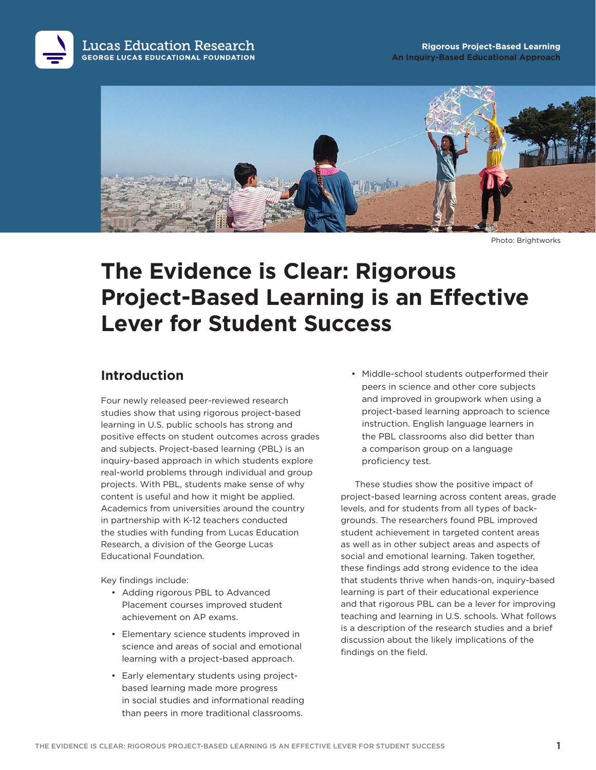



Photo: Brightworks

# **The Evidence is Clear: Rigorous Project-Based Learning is an Effective Lever for Student Success**

#### **Introduction**

Four newly released peer-reviewed research studies show that using rigorous project-based learning in U.S. public schools has strong and positive effects on student outcomes across grades and subjects. Project-based learning (PBL) is an inquiry-based approach in which students explore real-world problems through individual and group projects. With PBL, students make sense of why content is useful and how it might be applied. Academics from universities around the country in partnership with K-12 teachers conducted the studies with funding from Lucas Education Research, a division of the George Lucas Educational Foundation.

Key findings include:

- Adding rigorous PBL to Advanced Placement courses improved student achievement on AP exams.
- Elementary science students improved in science and areas of social and emotional learning with a project-based approach.
- Early elementary students using projectbased learning made more progress in social studies and informational reading than peers in more traditional classrooms.

• Middle-school students outperformed their peers in science and other core subjects and improved in groupwork when using a project-based learning approach to science instruction. English language learners in the PBL classrooms also did better than a comparison group on a language proficiency test.

These studies show the positive impact of project-based learning across content areas, grade levels, and for students from all types of backgrounds. The researchers found PBL improved student achievement in targeted content areas as well as in other subject areas and aspects of social and emotional learning. Taken together, these findings add strong evidence to the idea that students thrive when hands-on, inquiry-based learning is part of their educational experience and that rigorous PBL can be a lever for improving teaching and learning in U.S. schools. What follows is a description of the research studies and a brief discussion about the likely implications of the findings on the field.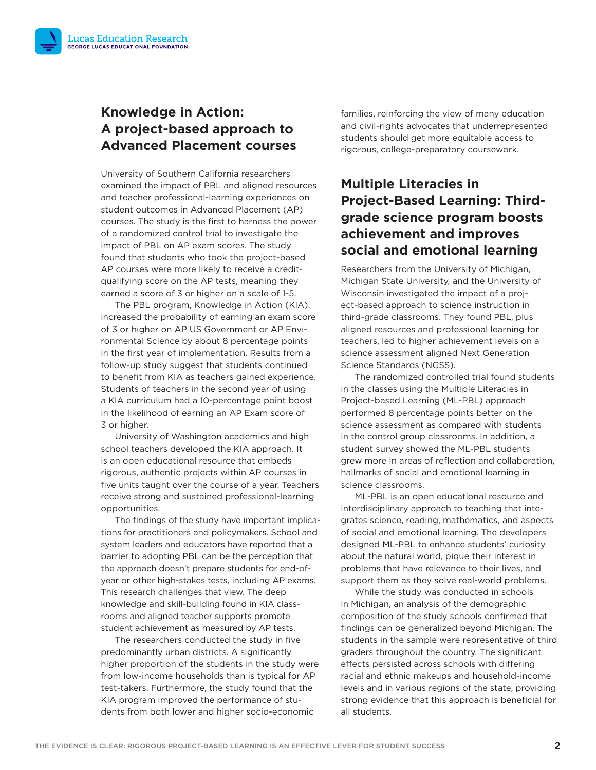#### **Knowledge in Action: A project-based approach to Advanced Placement courses**

University of Southern California researchers examined the impact of PBL and aligned resources and teacher professional-learning experiences on student outcomes in Advanced Placement (AP) courses. The study is the first to harness the power of a randomized control trial to investigate the impact of PBL on AP exam scores. The study found that students who took the project-based AP courses were more likely to receive a creditqualifying score on the AP tests, meaning they earned a score of 3 or higher on a scale of 1-5.

The PBL program, Knowledge in Action (KIA), increased the probability of earning an exam score of 3 or higher on AP US Government or AP Environmental Science by about 8 percentage points in the first year of implementation. Results from a follow-up study suggest that students continued to benefit from KIA as teachers gained experience. Students of teachers in the second year of using a KIA curriculum had a 10-percentage point boost in the likelihood of earning an AP Exam score of 3 or higher.

University of Washington academics and high school teachers developed the KIA approach. It is an open educational resource that embeds rigorous, authentic projects within AP courses in five units taught over the course of a year. Teachers receive strong and sustained professional-learning opportunities.

The findings of the study have important implications for practitioners and policymakers. School and system leaders and educators have reported that a barrier to adopting PBL can be the perception that the approach doesn't prepare students for end-ofyear or other high-stakes tests, including AP exams. This research challenges that view. The deep knowledge and skill-building found in KIA classrooms and aligned teacher supports promote student achievement as measured by AP tests.

The researchers conducted the study in five predominantly urban districts. A significantly higher proportion of the students in the study were from low-income households than is typical for AP test-takers. Furthermore, the study found that the KIA program improved the performance of students from both lower and higher socio-economic

families, reinforcing the view of many education and civil-rights advocates that underrepresented students should get more equitable access to rigorous, college-preparatory coursework.

### **Multiple Literacies in Project-Based Learning: Thirdgrade science program boosts achievement and improves social and emotional learning**

Researchers from the University of Michigan, Michigan State University, and the University of Wisconsin investigated the impact of a project-based approach to science instruction in third-grade classrooms. They found PBL, plus aligned resources and professional learning for teachers, led to higher achievement levels on a science assessment aligned Next Generation Science Standards (NGSS).

The randomized controlled trial found students in the classes using the Multiple Literacies in Project-based Learning (ML-PBL) approach performed 8 percentage points better on the science assessment as compared with students in the control group classrooms. In addition, a student survey showed the ML-PBL students grew more in areas of reflection and collaboration, hallmarks of social and emotional learning in science classrooms.

ML-PBL is an open educational resource and interdisciplinary approach to teaching that integrates science, reading, mathematics, and aspects of social and emotional learning. The developers designed ML-PBL to enhance students' curiosity about the natural world, pique their interest in problems that have relevance to their lives, and support them as they solve real-world problems.

While the study was conducted in schools in Michigan, an analysis of the demographic composition of the study schools confirmed that findings can be generalized beyond Michigan. The students in the sample were representative of third graders throughout the country. The significant effects persisted across schools with differing racial and ethnic makeups and household-income levels and in various regions of the state, providing strong evidence that this approach is beneficial for all students.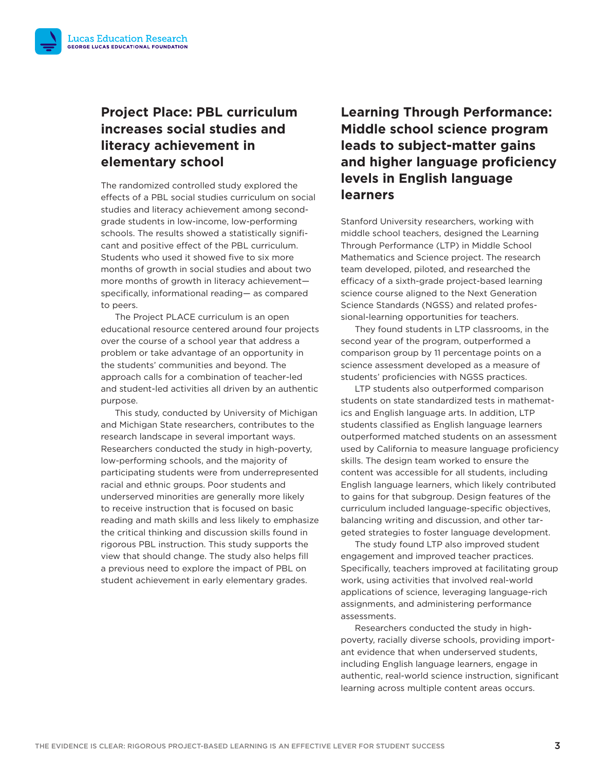### **Project Place: PBL curriculum increases social studies and literacy achievement in elementary school**

The randomized controlled study explored the effects of a PBL social studies curriculum on social studies and literacy achievement among secondgrade students in low-income, low-performing schools. The results showed a statistically significant and positive effect of the PBL curriculum. Students who used it showed five to six more months of growth in social studies and about two more months of growth in literacy achievement specifically, informational reading— as compared to peers.

The Project PLACE curriculum is an open educational resource centered around four projects over the course of a school year that address a problem or take advantage of an opportunity in the students' communities and beyond. The approach calls for a combination of teacher-led and student-led activities all driven by an authentic purpose.

This study, conducted by University of Michigan and Michigan State researchers, contributes to the research landscape in several important ways. Researchers conducted the study in high-poverty, low-performing schools, and the majority of participating students were from underrepresented racial and ethnic groups. Poor students and underserved minorities are generally more likely to receive instruction that is focused on basic reading and math skills and less likely to emphasize the critical thinking and discussion skills found in rigorous PBL instruction. This study supports the view that should change. The study also helps fill a previous need to explore the impact of PBL on student achievement in early elementary grades.

## **Learning Through Performance: Middle school science program leads to subject-matter gains and higher language proficiency levels in English language learners**

Stanford University researchers, working with middle school teachers, designed the Learning Through Performance (LTP) in Middle School Mathematics and Science project. The research team developed, piloted, and researched the efficacy of a sixth-grade project-based learning science course aligned to the Next Generation Science Standards (NGSS) and related professional-learning opportunities for teachers.

They found students in LTP classrooms, in the second year of the program, outperformed a comparison group by 11 percentage points on a science assessment developed as a measure of students' proficiencies with NGSS practices.

LTP students also outperformed comparison students on state standardized tests in mathematics and English language arts. In addition, LTP students classified as English language learners outperformed matched students on an assessment used by California to measure language proficiency skills. The design team worked to ensure the content was accessible for all students, including English language learners, which likely contributed to gains for that subgroup. Design features of the curriculum included language-specific objectives, balancing writing and discussion, and other targeted strategies to foster language development.

The study found LTP also improved student engagement and improved teacher practices. Specifically, teachers improved at facilitating group work, using activities that involved real-world applications of science, leveraging language-rich assignments, and administering performance assessments.

Researchers conducted the study in highpoverty, racially diverse schools, providing important evidence that when underserved students, including English language learners, engage in authentic, real-world science instruction, significant learning across multiple content areas occurs.